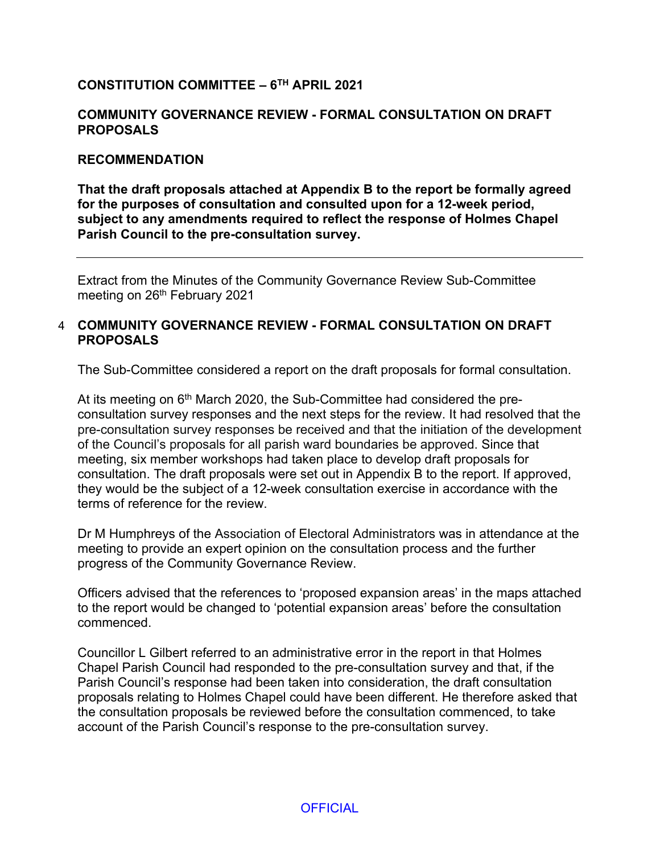## **CONSTITUTION COMMITTEE – 6 TH APRIL 2021**

#### **COMMUNITY GOVERNANCE REVIEW - FORMAL CONSULTATION ON DRAFT PROPOSALS**

#### **RECOMMENDATION**

**That the draft proposals attached at Appendix B to the report be formally agreed for the purposes of consultation and consulted upon for a 12-week period, subject to any amendments required to reflect the response of Holmes Chapel Parish Council to the pre-consultation survey.**

Extract from the Minutes of the Community Governance Review Sub-Committee meeting on 26<sup>th</sup> February 2021

### 4 **COMMUNITY GOVERNANCE REVIEW - FORMAL CONSULTATION ON DRAFT PROPOSALS**

The Sub-Committee considered a report on the draft proposals for formal consultation.

At its meeting on 6<sup>th</sup> March 2020, the Sub-Committee had considered the preconsultation survey responses and the next steps for the review. It had resolved that the pre-consultation survey responses be received and that the initiation of the development of the Council's proposals for all parish ward boundaries be approved. Since that meeting, six member workshops had taken place to develop draft proposals for consultation. The draft proposals were set out in Appendix B to the report. If approved, they would be the subject of a 12-week consultation exercise in accordance with the terms of reference for the review.

Dr M Humphreys of the Association of Electoral Administrators was in attendance at the meeting to provide an expert opinion on the consultation process and the further progress of the Community Governance Review.

Officers advised that the references to 'proposed expansion areas' in the maps attached to the report would be changed to 'potential expansion areas' before the consultation commenced.

Councillor L Gilbert referred to an administrative error in the report in that Holmes Chapel Parish Council had responded to the pre-consultation survey and that, if the Parish Council's response had been taken into consideration, the draft consultation proposals relating to Holmes Chapel could have been different. He therefore asked that the consultation proposals be reviewed before the consultation commenced, to take account of the Parish Council's response to the pre-consultation survey.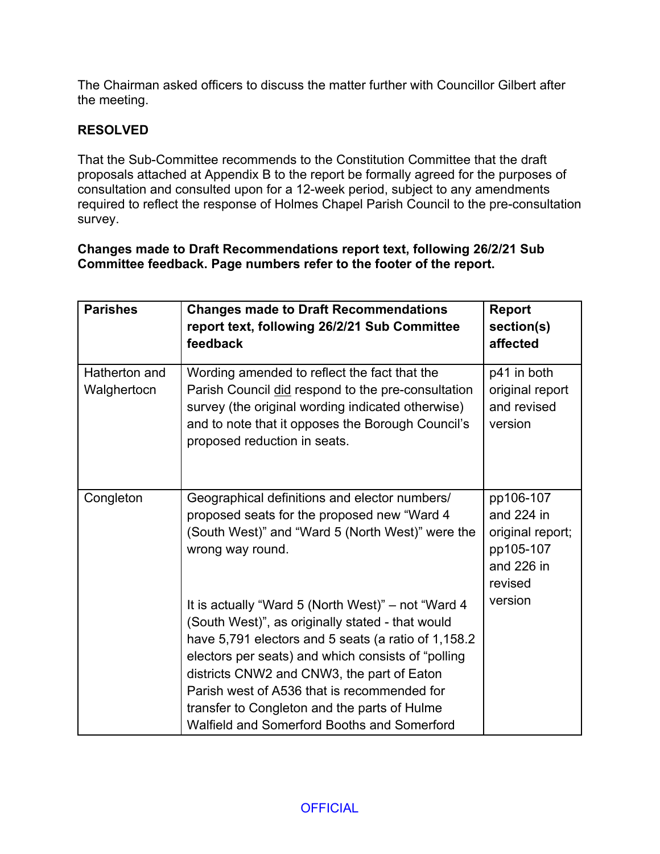The Chairman asked officers to discuss the matter further with Councillor Gilbert after the meeting.

# **RESOLVED**

That the Sub-Committee recommends to the Constitution Committee that the draft proposals attached at Appendix B to the report be formally agreed for the purposes of consultation and consulted upon for a 12-week period, subject to any amendments required to reflect the response of Holmes Chapel Parish Council to the pre-consultation survey.

**Changes made to Draft Recommendations report text, following 26/2/21 Sub Committee feedback. Page numbers refer to the footer of the report.**

| <b>Parishes</b>              | <b>Changes made to Draft Recommendations</b><br>report text, following 26/2/21 Sub Committee<br>feedback                                                                                                                                                                                                                                                                                                        | <b>Report</b><br>section(s)<br>affected                                           |
|------------------------------|-----------------------------------------------------------------------------------------------------------------------------------------------------------------------------------------------------------------------------------------------------------------------------------------------------------------------------------------------------------------------------------------------------------------|-----------------------------------------------------------------------------------|
| Hatherton and<br>Walghertocn | Wording amended to reflect the fact that the<br>Parish Council did respond to the pre-consultation<br>survey (the original wording indicated otherwise)<br>and to note that it opposes the Borough Council's<br>proposed reduction in seats.                                                                                                                                                                    | p41 in both<br>original report<br>and revised<br>version                          |
| Congleton                    | Geographical definitions and elector numbers/<br>proposed seats for the proposed new "Ward 4<br>(South West)" and "Ward 5 (North West)" were the<br>wrong way round.                                                                                                                                                                                                                                            | pp106-107<br>and 224 in<br>original report;<br>pp105-107<br>and 226 in<br>revised |
|                              | It is actually "Ward 5 (North West)" – not "Ward 4<br>(South West)", as originally stated - that would<br>have 5,791 electors and 5 seats (a ratio of 1,158.2<br>electors per seats) and which consists of "polling<br>districts CNW2 and CNW3, the part of Eaton<br>Parish west of A536 that is recommended for<br>transfer to Congleton and the parts of Hulme<br>Walfield and Somerford Booths and Somerford | version                                                                           |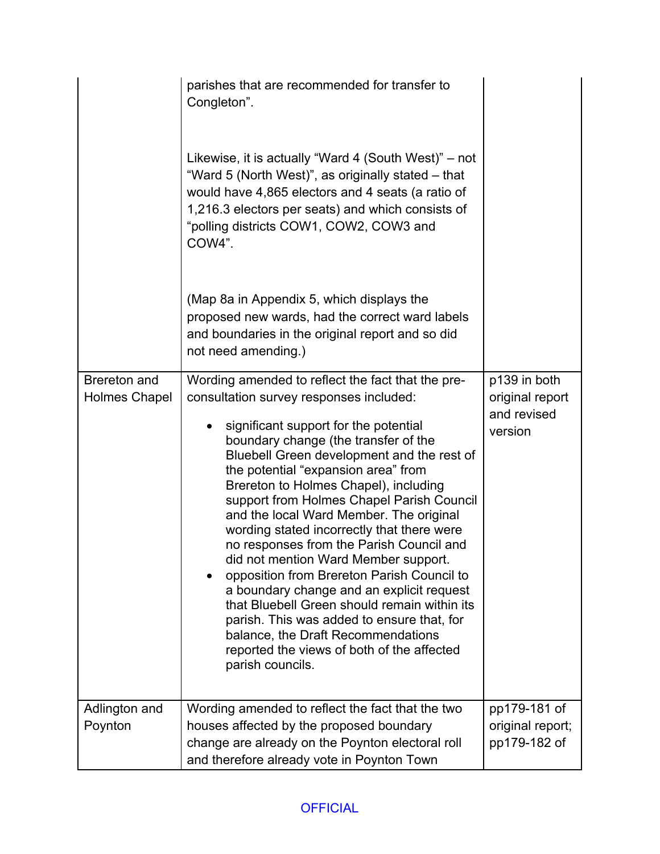|                               | parishes that are recommended for transfer to<br>Congleton".<br>Likewise, it is actually "Ward 4 (South West)" – not<br>"Ward 5 (North West)", as originally stated – that<br>would have 4,865 electors and 4 seats (a ratio of<br>1,216.3 electors per seats) and which consists of<br>"polling districts COW1, COW2, COW3 and<br>COW4".<br>(Map 8a in Appendix 5, which displays the<br>proposed new wards, had the correct ward labels<br>and boundaries in the original report and so did<br>not need amending.)                                                                                                                                                                                                                                                                                                                   |                                                           |
|-------------------------------|----------------------------------------------------------------------------------------------------------------------------------------------------------------------------------------------------------------------------------------------------------------------------------------------------------------------------------------------------------------------------------------------------------------------------------------------------------------------------------------------------------------------------------------------------------------------------------------------------------------------------------------------------------------------------------------------------------------------------------------------------------------------------------------------------------------------------------------|-----------------------------------------------------------|
| Brereton and<br>Holmes Chapel | Wording amended to reflect the fact that the pre-<br>consultation survey responses included:<br>significant support for the potential<br>boundary change (the transfer of the<br>Bluebell Green development and the rest of<br>the potential "expansion area" from<br>Brereton to Holmes Chapel), including<br>support from Holmes Chapel Parish Council<br>and the local Ward Member. The original<br>wording stated incorrectly that there were<br>no responses from the Parish Council and<br>did not mention Ward Member support.<br>opposition from Brereton Parish Council to<br>a boundary change and an explicit request<br>that Bluebell Green should remain within its<br>parish. This was added to ensure that, for<br>balance, the Draft Recommendations<br>reported the views of both of the affected<br>parish councils. | p139 in both<br>original report<br>and revised<br>version |
| Adlington and<br>Poynton      | Wording amended to reflect the fact that the two<br>houses affected by the proposed boundary                                                                                                                                                                                                                                                                                                                                                                                                                                                                                                                                                                                                                                                                                                                                           | pp179-181 of<br>original report;                          |
|                               | change are already on the Poynton electoral roll<br>and therefore already vote in Poynton Town                                                                                                                                                                                                                                                                                                                                                                                                                                                                                                                                                                                                                                                                                                                                         | pp179-182 of                                              |

# **OFFICIAL**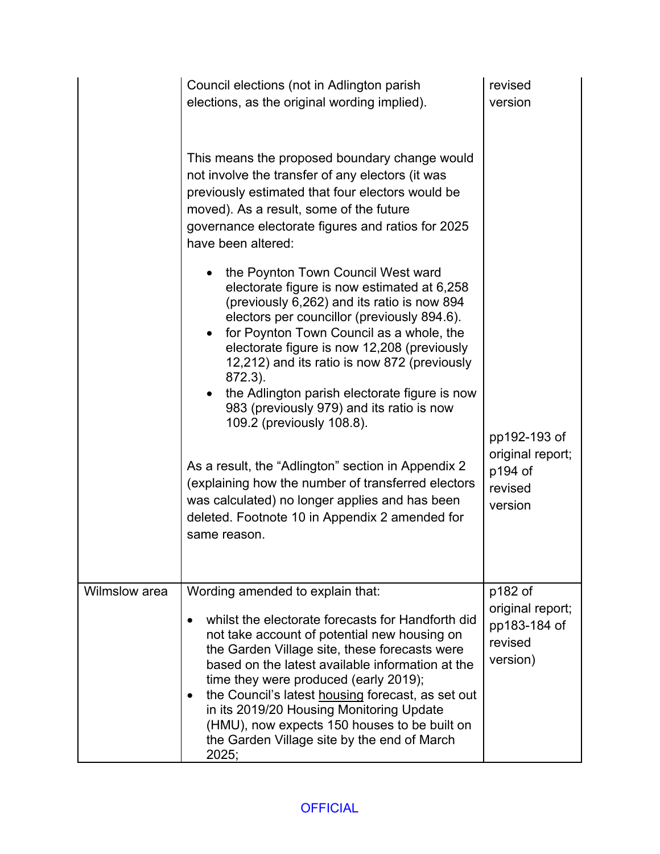|               | Council elections (not in Adlington parish<br>elections, as the original wording implied).                                                                                                                                                                                                                                                                                                                                                                                                   | revised<br>version                                                 |
|---------------|----------------------------------------------------------------------------------------------------------------------------------------------------------------------------------------------------------------------------------------------------------------------------------------------------------------------------------------------------------------------------------------------------------------------------------------------------------------------------------------------|--------------------------------------------------------------------|
|               | This means the proposed boundary change would<br>not involve the transfer of any electors (it was<br>previously estimated that four electors would be<br>moved). As a result, some of the future<br>governance electorate figures and ratios for 2025<br>have been altered:                                                                                                                                                                                                                  |                                                                    |
|               | the Poynton Town Council West ward<br>electorate figure is now estimated at 6,258<br>(previously 6,262) and its ratio is now 894<br>electors per councillor (previously 894.6).<br>for Poynton Town Council as a whole, the<br>electorate figure is now 12,208 (previously<br>12,212) and its ratio is now 872 (previously<br>872.3).<br>the Adlington parish electorate figure is now<br>$\bullet$<br>983 (previously 979) and its ratio is now<br>109.2 (previously 108.8).                |                                                                    |
|               | As a result, the "Adlington" section in Appendix 2<br>(explaining how the number of transferred electors)<br>was calculated) no longer applies and has been<br>deleted. Footnote 10 in Appendix 2 amended for<br>same reason.                                                                                                                                                                                                                                                                | pp192-193 of<br>original report;<br>p194 of<br>revised<br>version  |
| Wilmslow area | Wording amended to explain that:<br>whilst the electorate forecasts for Handforth did<br>not take account of potential new housing on<br>the Garden Village site, these forecasts were<br>based on the latest available information at the<br>time they were produced (early 2019);<br>the Council's latest housing forecast, as set out<br>in its 2019/20 Housing Monitoring Update<br>(HMU), now expects 150 houses to be built on<br>the Garden Village site by the end of March<br>2025; | p182 of<br>original report;<br>pp183-184 of<br>revised<br>version) |